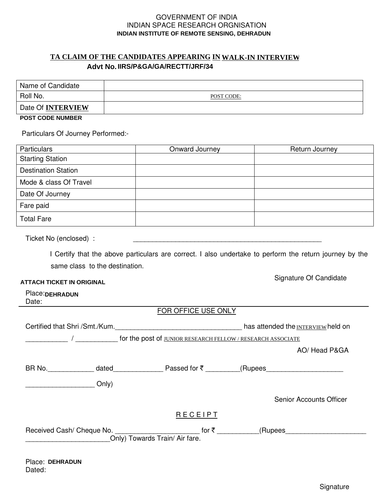#### GOVERNMENT OF INDIA INDIAN SPACE RESEARCH ORGNISATION **INDIAN INSTITUTE OF REMOTE SENSING, DEHRADUN**

# <u>TA CLAIM OF THE CANDIDATES APPEARING IN WALK-IN INTERVIEW</u> Advt No. IIRS/P&GA/GA/RECTT/JRF/34

| Name of Candidate       |            |
|-------------------------|------------|
| Roll No.                | POST CODE: |
| Date Of INTERVIEW       |            |
| <b>POST CODE NUMBER</b> |            |

Place: DEHRADUN

Dated:

Particulars Of Journey Performed:-

| Particulars                                                                      | Onward Journey                                                                                                       | Return Journey                                                                                          |  |  |
|----------------------------------------------------------------------------------|----------------------------------------------------------------------------------------------------------------------|---------------------------------------------------------------------------------------------------------|--|--|
| <b>Starting Station</b>                                                          |                                                                                                                      |                                                                                                         |  |  |
| <b>Destination Station</b>                                                       |                                                                                                                      |                                                                                                         |  |  |
| Mode & class Of Travel                                                           |                                                                                                                      |                                                                                                         |  |  |
| Date Of Journey                                                                  |                                                                                                                      |                                                                                                         |  |  |
| Fare paid                                                                        |                                                                                                                      |                                                                                                         |  |  |
| <b>Total Fare</b>                                                                |                                                                                                                      |                                                                                                         |  |  |
| Ticket No (enclosed) :                                                           | <u> 1989 - Johann John Stone, markin film yn y brening yn y brening yn y brening yn y brening yn y brening y bre</u> |                                                                                                         |  |  |
|                                                                                  |                                                                                                                      | I Certify that the above particulars are correct. I also undertake to perform the return journey by the |  |  |
| same class to the destination.                                                   |                                                                                                                      |                                                                                                         |  |  |
| <b>ATTACH TICKET IN ORIGINAL</b>                                                 |                                                                                                                      | Signature Of Candidate                                                                                  |  |  |
| Place: DEHRADUN<br>Date:                                                         |                                                                                                                      |                                                                                                         |  |  |
|                                                                                  | FOR OFFICE USE ONLY                                                                                                  |                                                                                                         |  |  |
|                                                                                  |                                                                                                                      | Certified that Shri /Smt./Kum._________________________________has attended the INTERVIEW held on       |  |  |
|                                                                                  |                                                                                                                      |                                                                                                         |  |  |
|                                                                                  |                                                                                                                      | AO/ Head P&GA                                                                                           |  |  |
|                                                                                  |                                                                                                                      |                                                                                                         |  |  |
|                                                                                  |                                                                                                                      |                                                                                                         |  |  |
|                                                                                  |                                                                                                                      | <b>Senior Accounts Officer</b>                                                                          |  |  |
|                                                                                  | RECEIPT                                                                                                              |                                                                                                         |  |  |
| Received Cash/ Cheque No. ___________________________ for ₹ ____________________ |                                                                                                                      | (Rupees_________________________                                                                        |  |  |
| Only) Towards Train/Air fare.                                                    |                                                                                                                      |                                                                                                         |  |  |
|                                                                                  |                                                                                                                      |                                                                                                         |  |  |